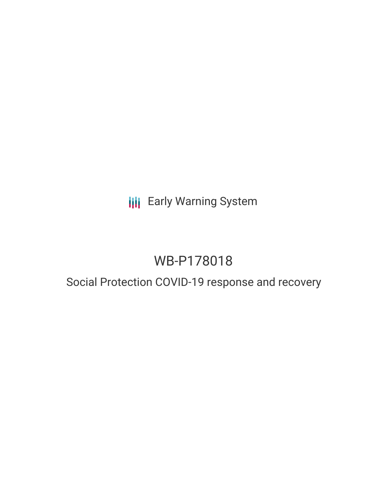## **III** Early Warning System

# WB-P178018

### Social Protection COVID-19 response and recovery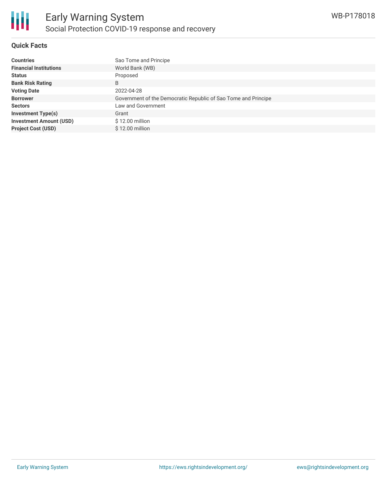

#### **Quick Facts**

| <b>Countries</b>               | Sao Tome and Principe                                          |
|--------------------------------|----------------------------------------------------------------|
| <b>Financial Institutions</b>  | World Bank (WB)                                                |
| <b>Status</b>                  | Proposed                                                       |
| <b>Bank Risk Rating</b>        | B                                                              |
| <b>Voting Date</b>             | 2022-04-28                                                     |
| <b>Borrower</b>                | Government of the Democratic Republic of Sao Tome and Principe |
| <b>Sectors</b>                 | Law and Government                                             |
| <b>Investment Type(s)</b>      | Grant                                                          |
| <b>Investment Amount (USD)</b> | \$12.00 million                                                |
| <b>Project Cost (USD)</b>      | \$12.00 million                                                |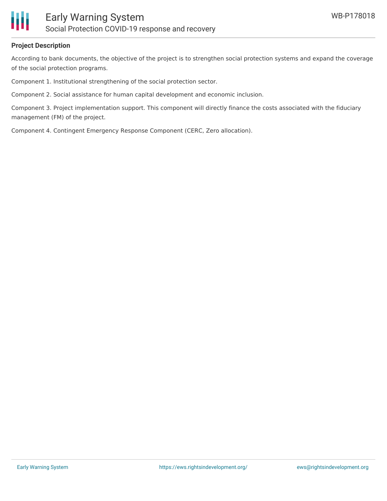

#### **Project Description**

According to bank documents, the objective of the project is to strengthen social protection systems and expand the coverage of the social protection programs.

Component 1. Institutional strengthening of the social protection sector.

Component 2. Social assistance for human capital development and economic inclusion.

Component 3. Project implementation support. This component will directly finance the costs associated with the fiduciary management (FM) of the project.

Component 4. Contingent Emergency Response Component (CERC, Zero allocation).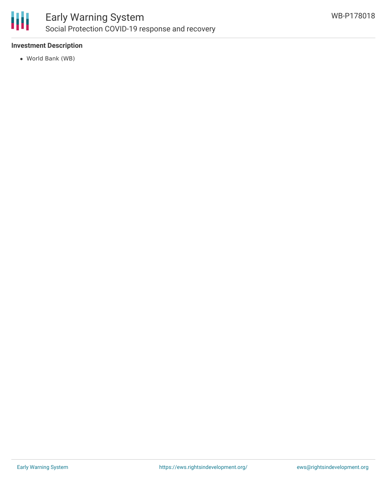

#### **Investment Description**

World Bank (WB)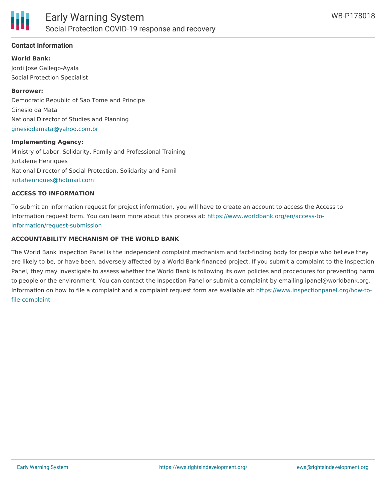

#### **Contact Information**

**World Bank:**

Jordi Jose Gallego-Ayala Social Protection Specialist

### **Borrower:** Democratic Republic of Sao Tome and Principe Ginesio da Mata National Director of Studies and Planning [ginesiodamata@yahoo.com.br](mailto:ginesiodamata@yahoo.com.br)

#### **Implementing Agency:**

Ministry of Labor, Solidarity, Family and Professional Training Jurtalene Henriques National Director of Social Protection, Solidarity and Famil [jurtahenriques@hotmail.com](mailto:jurtahenriques@hotmail.com)

#### **ACCESS TO INFORMATION**

To submit an information request for project information, you will have to create an account to access the Access to Information request form. You can learn more about this process at: [https://www.worldbank.org/en/access-to](https://www.worldbank.org/en/access-to-information/request-submission)information/request-submission

#### **ACCOUNTABILITY MECHANISM OF THE WORLD BANK**

The World Bank Inspection Panel is the independent complaint mechanism and fact-finding body for people who believe they are likely to be, or have been, adversely affected by a World Bank-financed project. If you submit a complaint to the Inspection Panel, they may investigate to assess whether the World Bank is following its own policies and procedures for preventing harm to people or the environment. You can contact the Inspection Panel or submit a complaint by emailing ipanel@worldbank.org. Information on how to file a complaint and a complaint request form are available at: [https://www.inspectionpanel.org/how-to](https://www.inspectionpanel.org/how-to-file-complaint)file-complaint